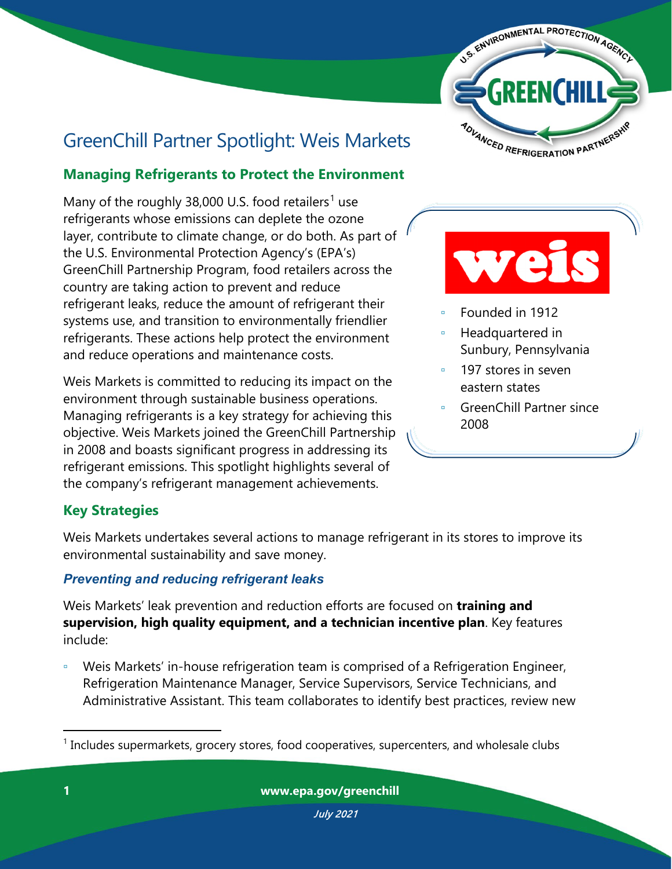

# GreenChill Partner Spotlight: Weis Markets

# **Managing Refrigerants to Protect the Environment**

Many of the roughly 38,000 U.S. food retailers<sup>[1](#page-0-0)</sup> use refrigerants whose emissions can deplete the ozone layer, contribute to climate change, or do both. As part of the U.S. Environmental Protection Agency's (EPA's) GreenChill Partnership Program, food retailers across the country are taking action to prevent and reduce refrigerant leaks, reduce the amount of refrigerant their systems use, and transition to environmentally friendlier refrigerants. These actions help protect the environment and reduce operations and maintenance costs.

Weis Markets is committed to reducing its impact on the environment through sustainable business operations. Managing refrigerants is a key strategy for achieving this objective. Weis Markets joined the GreenChill Partnership in 2008 and boasts significant progress in addressing its refrigerant emissions. This spotlight highlights several of the company's refrigerant management achievements.



- Founded in 1912
- Headquartered in Sunbury, Pennsylvania
- 197 stores in seven eastern states
- GreenChill Partner since 2008

# **Key Strategies**

Weis Markets undertakes several actions to manage refrigerant in its stores to improve its environmental sustainability and save money.

## *Preventing and reducing refrigerant leaks*

Weis Markets' leak prevention and reduction efforts are focused on **training and supervision, high quality equipment, and a technician incentive plan**. Key features include:

Weis Markets' in-house refrigeration team is comprised of a Refrigeration Engineer, Refrigeration Maintenance Manager, Service Supervisors, Service Technicians, and Administrative Assistant. This team collaborates to identify best practices, review new

<span id="page-0-0"></span> $1$  Includes supermarkets, grocery stores, food cooperatives, supercenters, and wholesale clubs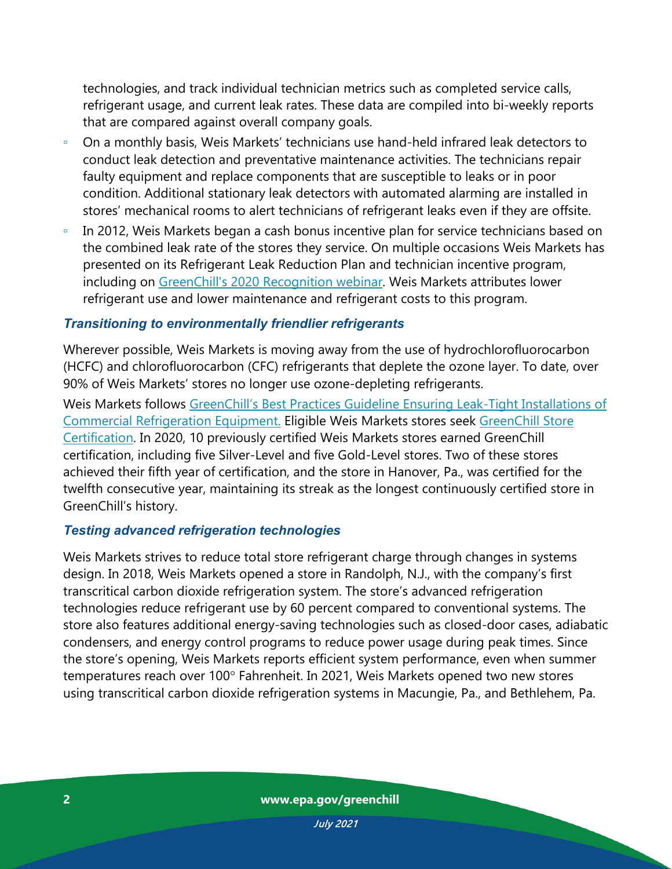technologies, and track individual technician metrics such as completed service calls, refrigerant usage, and current leak rates. These data are compiled into bi-weekly reports that are compared against overall company goals.

- On a monthly basis, Weis Markets' technicians use hand-held infrared leak detectors to conduct leak detection and preventative maintenance activities. The technicians repair faulty equipment and replace components that are susceptible to leaks or in poor condition. Additional stationary leak detectors with automated alarming are installed in stores' mechanical rooms to alert technicians of refrigerant leaks even if they are offsite.
- In 2012, Weis Markets began a cash bonus incentive plan for service technicians based on the combined leak rate of the stores they service. On multiple occasions Weis Markets has presented on its Refrigerant Leak Reduction Plan and technician incentive program, including on [GreenChill's 2020 Recognition webinar.](https://www.epa.gov/greenchill/greenchill-recognition-presentation) Weis Markets attributes lower refrigerant use and lower maintenance and refrigerant costs to this program.

#### *Transitioning to environmentally friendlier refrigerants*

Wherever possible, Weis Markets is moving away from the use of hydrochlorofluorocarbon (HCFC) and chlorofluorocarbon (CFC) refrigerants that deplete the ozone layer. To date, over 90% of Weis Markets' stores no longer use ozone-depleting refrigerants.

Weis Markets follows [GreenChill's Best Practices Guideline Ensuring Leak-Tight Installations of](https://www.epa.gov/greenchill/greenchill-best-practices-guideline-ensuring-leak-tight-installations-commercial)  [Commercial Refrigeration Equipment.](https://www.epa.gov/greenchill/greenchill-best-practices-guideline-ensuring-leak-tight-installations-commercial) Eligible Weis Markets stores seek [GreenChill Store](https://www.epa.gov/greenchill/about-greenchill-store-certification-program)  [Certification.](https://www.epa.gov/greenchill/about-greenchill-store-certification-program) In 2020, 10 previously certified Weis Markets stores earned GreenChill certification, including five Silver-Level and five Gold-Level stores. Two of these stores achieved their fifth year of certification, and the store in Hanover, Pa., was certified for the twelfth consecutive year, maintaining its streak as the longest continuously certified store in GreenChill's history.

#### *Testing advanced refrigeration technologies*

Weis Markets strives to reduce total store refrigerant charge through changes in systems design. In 2018, Weis Markets opened a store in Randolph, N.J., with the [company's first](http://www.r744.com/articles/8441/weis_markets_deploys_its_first_transcritical_system)  [transcritical carbon dioxide refrigeration system.](http://www.r744.com/articles/8441/weis_markets_deploys_its_first_transcritical_system) The store's advanced refrigeration technologies reduce refrigerant use by 60 percent compared to conventional systems. The store also features additional energy-saving technologies such as closed-door cases, adiabatic condensers, and energy control programs to reduce power usage during peak times. Since the store's opening, Weis Markets reports efficient [system performance,](https://issuu.com/shecco/docs/am_104/36) even when summer temperatures reach over 100° Fahrenheit. In 2021, Weis Markets opened two new stores using transcritical carbon dioxide refrigeration systems in Macungie, Pa., and Bethlehem, Pa.